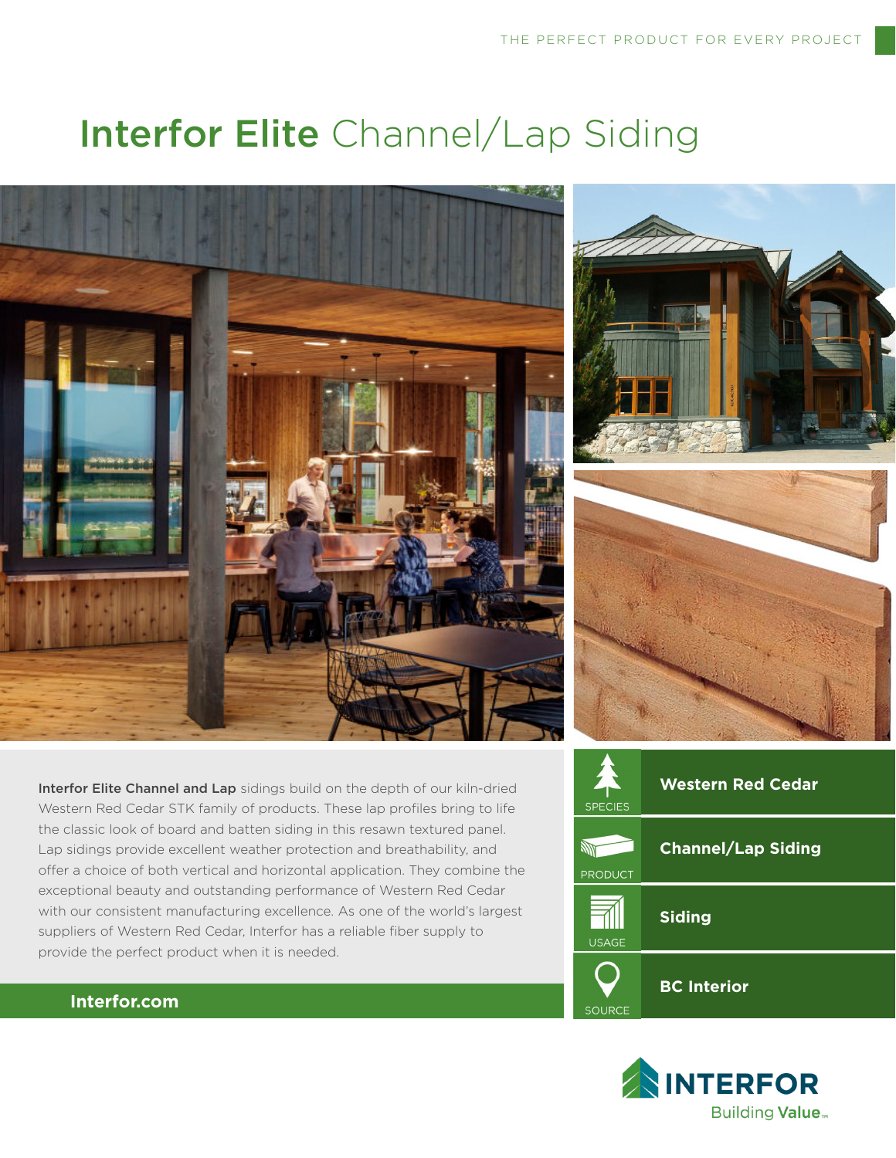# Interfor Elite Channel/Lap Siding



Interfor Elite Channel and Lap sidings build on the depth of our kiln-dried Western Red Cedar STK family of products. These lap profiles bring to life the classic look of board and batten siding in this resawn textured panel. Lap sidings provide excellent weather protection and breathability, and offer a choice of both vertical and horizontal application. They combine the exceptional beauty and outstanding performance of Western Red Cedar with our consistent manufacturing excellence. As one of the world's largest suppliers of Western Red Cedar, Interfor has a reliable fiber supply to provide the perfect product when it is needed.







### **Interfor.com**